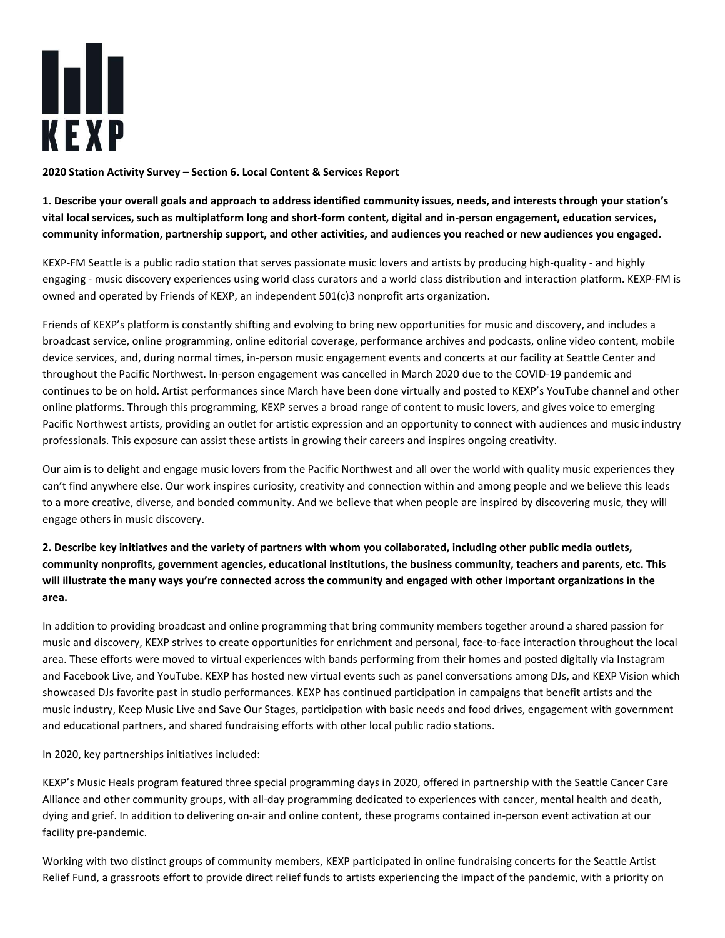

## 2020 Station Activity Survey – Section 6. Local Content & Services Report

1. Describe your overall goals and approach to address identified community issues, needs, and interests through your station's vital local services, such as multiplatform long and short-form content, digital and in-person engagement, education services, community information, partnership support, and other activities, and audiences you reached or new audiences you engaged.

KEXP-FM Seattle is a public radio station that serves passionate music lovers and artists by producing high-quality - and highly engaging - music discovery experiences using world class curators and a world class distribution and interaction platform. KEXP-FM is owned and operated by Friends of KEXP, an independent 501(c)3 nonprofit arts organization.

Friends of KEXP's platform is constantly shifting and evolving to bring new opportunities for music and discovery, and includes a broadcast service, online programming, online editorial coverage, performance archives and podcasts, online video content, mobile device services, and, during normal times, in-person music engagement events and concerts at our facility at Seattle Center and throughout the Pacific Northwest. In-person engagement was cancelled in March 2020 due to the COVID-19 pandemic and continues to be on hold. Artist performances since March have been done virtually and posted to KEXP's YouTube channel and other online platforms. Through this programming, KEXP serves a broad range of content to music lovers, and gives voice to emerging Pacific Northwest artists, providing an outlet for artistic expression and an opportunity to connect with audiences and music industry professionals. This exposure can assist these artists in growing their careers and inspires ongoing creativity.

Our aim is to delight and engage music lovers from the Pacific Northwest and all over the world with quality music experiences they can't find anywhere else. Our work inspires curiosity, creativity and connection within and among people and we believe this leads to a more creative, diverse, and bonded community. And we believe that when people are inspired by discovering music, they will engage others in music discovery.

## 2. Describe key initiatives and the variety of partners with whom you collaborated, including other public media outlets, community nonprofits, government agencies, educational institutions, the business community, teachers and parents, etc. This will illustrate the many ways you're connected across the community and engaged with other important organizations in the area.

In addition to providing broadcast and online programming that bring community members together around a shared passion for music and discovery, KEXP strives to create opportunities for enrichment and personal, face-to-face interaction throughout the local area. These efforts were moved to virtual experiences with bands performing from their homes and posted digitally via Instagram and Facebook Live, and YouTube. KEXP has hosted new virtual events such as panel conversations among DJs, and KEXP Vision which showcased DJs favorite past in studio performances. KEXP has continued participation in campaigns that benefit artists and the music industry, Keep Music Live and Save Our Stages, participation with basic needs and food drives, engagement with government and educational partners, and shared fundraising efforts with other local public radio stations.

In 2020, key partnerships initiatives included:

KEXP's Music Heals program featured three special programming days in 2020, offered in partnership with the Seattle Cancer Care Alliance and other community groups, with all-day programming dedicated to experiences with cancer, mental health and death, dying and grief. In addition to delivering on-air and online content, these programs contained in-person event activation at our facility pre-pandemic.

Working with two distinct groups of community members, KEXP participated in online fundraising concerts for the Seattle Artist Relief Fund, a grassroots effort to provide direct relief funds to artists experiencing the impact of the pandemic, with a priority on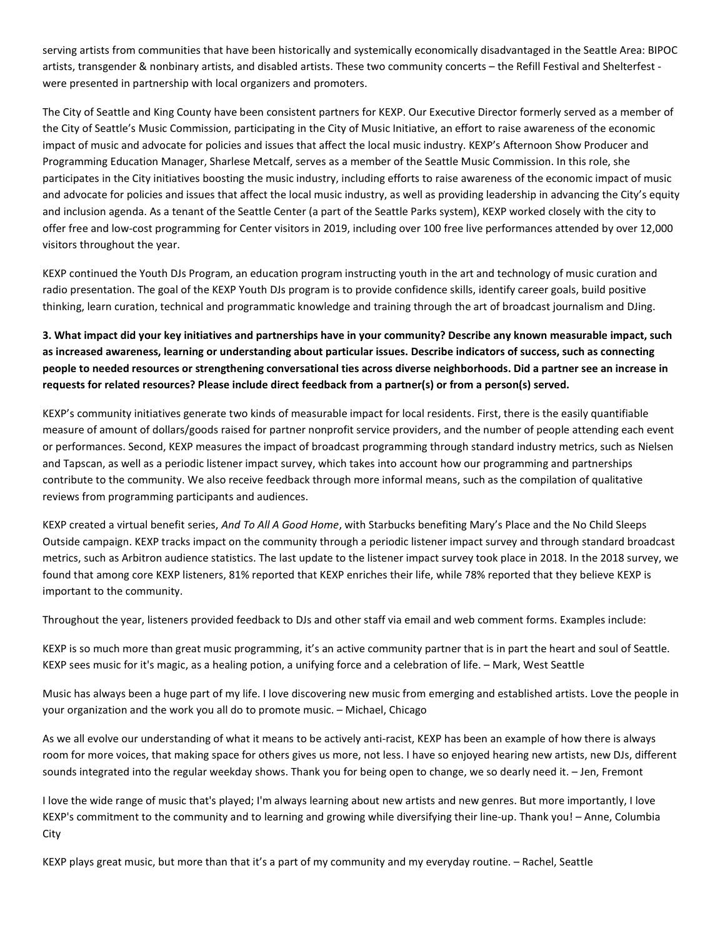serving artists from communities that have been historically and systemically economically disadvantaged in the Seattle Area: BIPOC artists, transgender & nonbinary artists, and disabled artists. These two community concerts – the Refill Festival and Shelterfest were presented in partnership with local organizers and promoters.

The City of Seattle and King County have been consistent partners for KEXP. Our Executive Director formerly served as a member of the City of Seattle's Music Commission, participating in the City of Music Initiative, an effort to raise awareness of the economic impact of music and advocate for policies and issues that affect the local music industry. KEXP's Afternoon Show Producer and Programming Education Manager, Sharlese Metcalf, serves as a member of the Seattle Music Commission. In this role, she participates in the City initiatives boosting the music industry, including efforts to raise awareness of the economic impact of music and advocate for policies and issues that affect the local music industry, as well as providing leadership in advancing the City's equity and inclusion agenda. As a tenant of the Seattle Center (a part of the Seattle Parks system), KEXP worked closely with the city to offer free and low-cost programming for Center visitors in 2019, including over 100 free live performances attended by over 12,000 visitors throughout the year.

KEXP continued the Youth DJs Program, an education program instructing youth in the art and technology of music curation and radio presentation. The goal of the KEXP Youth DJs program is to provide confidence skills, identify career goals, build positive thinking, learn curation, technical and programmatic knowledge and training through the art of broadcast journalism and DJing.

## 3. What impact did your key initiatives and partnerships have in your community? Describe any known measurable impact, such as increased awareness, learning or understanding about particular issues. Describe indicators of success, such as connecting people to needed resources or strengthening conversational ties across diverse neighborhoods. Did a partner see an increase in requests for related resources? Please include direct feedback from a partner(s) or from a person(s) served.

KEXP's community initiatives generate two kinds of measurable impact for local residents. First, there is the easily quantifiable measure of amount of dollars/goods raised for partner nonprofit service providers, and the number of people attending each event or performances. Second, KEXP measures the impact of broadcast programming through standard industry metrics, such as Nielsen and Tapscan, as well as a periodic listener impact survey, which takes into account how our programming and partnerships contribute to the community. We also receive feedback through more informal means, such as the compilation of qualitative reviews from programming participants and audiences.

KEXP created a virtual benefit series, And To All A Good Home, with Starbucks benefiting Mary's Place and the No Child Sleeps Outside campaign. KEXP tracks impact on the community through a periodic listener impact survey and through standard broadcast metrics, such as Arbitron audience statistics. The last update to the listener impact survey took place in 2018. In the 2018 survey, we found that among core KEXP listeners, 81% reported that KEXP enriches their life, while 78% reported that they believe KEXP is important to the community.

Throughout the year, listeners provided feedback to DJs and other staff via email and web comment forms. Examples include:

KEXP is so much more than great music programming, it's an active community partner that is in part the heart and soul of Seattle. KEXP sees music for it's magic, as a healing potion, a unifying force and a celebration of life. – Mark, West Seattle

Music has always been a huge part of my life. I love discovering new music from emerging and established artists. Love the people in your organization and the work you all do to promote music. – Michael, Chicago

As we all evolve our understanding of what it means to be actively anti-racist, KEXP has been an example of how there is always room for more voices, that making space for others gives us more, not less. I have so enjoyed hearing new artists, new DJs, different sounds integrated into the regular weekday shows. Thank you for being open to change, we so dearly need it. – Jen, Fremont

I love the wide range of music that's played; I'm always learning about new artists and new genres. But more importantly, I love KEXP's commitment to the community and to learning and growing while diversifying their line-up. Thank you! – Anne, Columbia City

KEXP plays great music, but more than that it's a part of my community and my everyday routine. – Rachel, Seattle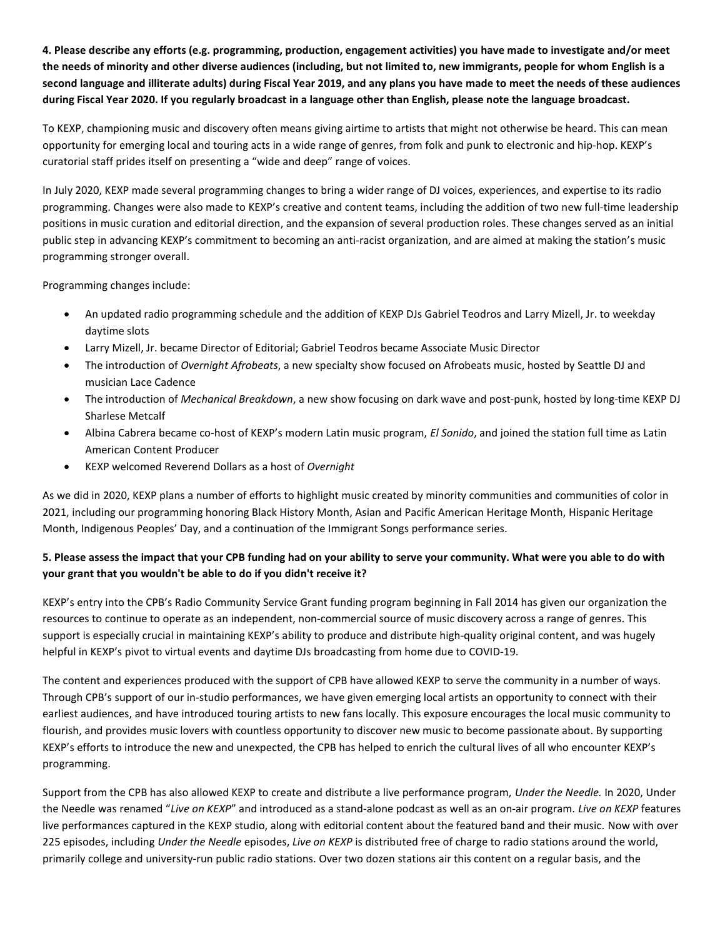4. Please describe any efforts (e.g. programming, production, engagement activities) you have made to investigate and/or meet the needs of minority and other diverse audiences (including, but not limited to, new immigrants, people for whom English is a second language and illiterate adults) during Fiscal Year 2019, and any plans you have made to meet the needs of these audiences during Fiscal Year 2020. If you regularly broadcast in a language other than English, please note the language broadcast.

To KEXP, championing music and discovery often means giving airtime to artists that might not otherwise be heard. This can mean opportunity for emerging local and touring acts in a wide range of genres, from folk and punk to electronic and hip-hop. KEXP's curatorial staff prides itself on presenting a "wide and deep" range of voices.

In July 2020, KEXP made several programming changes to bring a wider range of DJ voices, experiences, and expertise to its radio programming. Changes were also made to KEXP's creative and content teams, including the addition of two new full-time leadership positions in music curation and editorial direction, and the expansion of several production roles. These changes served as an initial public step in advancing KEXP's commitment to becoming an anti-racist organization, and are aimed at making the station's music programming stronger overall.

Programming changes include:

- An updated radio programming schedule and the addition of KEXP DJs Gabriel Teodros and Larry Mizell, Jr. to weekday daytime slots
- Larry Mizell, Jr. became Director of Editorial; Gabriel Teodros became Associate Music Director
- The introduction of Overnight Afrobeats, a new specialty show focused on Afrobeats music, hosted by Seattle DJ and musician Lace Cadence
- The introduction of Mechanical Breakdown, a new show focusing on dark wave and post-punk, hosted by long-time KEXP DJ Sharlese Metcalf
- Albina Cabrera became co-host of KEXP's modern Latin music program, El Sonido, and joined the station full time as Latin American Content Producer
- KEXP welcomed Reverend Dollars as a host of Overnight

As we did in 2020, KEXP plans a number of efforts to highlight music created by minority communities and communities of color in 2021, including our programming honoring Black History Month, Asian and Pacific American Heritage Month, Hispanic Heritage Month, Indigenous Peoples' Day, and a continuation of the Immigrant Songs performance series.

## 5. Please assess the impact that your CPB funding had on your ability to serve your community. What were you able to do with your grant that you wouldn't be able to do if you didn't receive it?

KEXP's entry into the CPB's Radio Community Service Grant funding program beginning in Fall 2014 has given our organization the resources to continue to operate as an independent, non-commercial source of music discovery across a range of genres. This support is especially crucial in maintaining KEXP's ability to produce and distribute high-quality original content, and was hugely helpful in KEXP's pivot to virtual events and daytime DJs broadcasting from home due to COVID-19.

The content and experiences produced with the support of CPB have allowed KEXP to serve the community in a number of ways. Through CPB's support of our in-studio performances, we have given emerging local artists an opportunity to connect with their earliest audiences, and have introduced touring artists to new fans locally. This exposure encourages the local music community to flourish, and provides music lovers with countless opportunity to discover new music to become passionate about. By supporting KEXP's efforts to introduce the new and unexpected, the CPB has helped to enrich the cultural lives of all who encounter KEXP's programming.

Support from the CPB has also allowed KEXP to create and distribute a live performance program, Under the Needle. In 2020, Under the Needle was renamed "Live on KEXP" and introduced as a stand-alone podcast as well as an on-air program. Live on KEXP features live performances captured in the KEXP studio, along with editorial content about the featured band and their music. Now with over 225 episodes, including Under the Needle episodes, Live on KEXP is distributed free of charge to radio stations around the world, primarily college and university-run public radio stations. Over two dozen stations air this content on a regular basis, and the